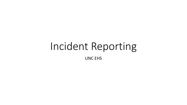# Incident Reporting UNC EHS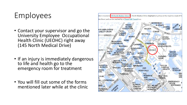# Employees

- Contact your supervisor and go the University Employee Occupational Health Clinic (UEOHC) right away (145 North Medical Drive)
- If an injury is immediately dangerous to life and health go to the emergency room for treatment
- You will fill out some of the forms mentioned later while at the clinic

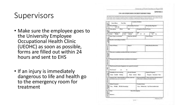University of North Carolina at Chavel Hill

### **Supervisors**

- the University Employee • Make sure the employee goes to Occupational Health Clinic (UEOHC) as soon as possible, forms are filled out within 24 hours and sent to EHS
- • If an injury is immediately to the emergency room for dangerous to life and health go treatment

of the North Carolina Industrial Commission Form 19 (Workers' Compensation Form) as soon as practicately. All meidents needsing erious bodily minry or death must be reported to the Dentroment of Enveronment. Health and Safety omneduately Location of Incident **Injury/Illness** Near Miss Time of Incident Date Incident Occurred Date Incident Reported AM PM Vame (Last) (First) OAT Occupation of Injured Worker Length of Employment Longth in Present Job Shift Overtime Years Months Years. Months  $1^{st}$   $2^{nd}$ Yes No Body Part Affected Injury Type (i.e. cuthtrain) Cause of injury Describe events leading to incident Name of Witness Phone # Before During Afterwards What acts or conditions contributed directly to the incident? What personal and/or job factors contributed to the incident' What Personal Protective Equipment was required for this job! Was it in use? Probability of event recurring **Severity Potential** Exposure Frequency Likely Possible Unlikely Major Serious Minor Frequent Occasional Rare Temporary Fix - What immediate corrective action has Permanent Solution - What correction action has been of will be taken to eliminate the basic enuses? been taken to prevent a recurrence? **Medical Treatment Treatment Status** Nanc UEOHC ER (life threatening) None. Modical only Lost Time (medical note) Date of Investigation Name Signature February 200

 $2-1-C$ 

UNC-CH SUPERVISOR'S INCIDENT REPORT FORM This form in to be completed by the Supervisor and forwarded as the Department of Environment, Health and Safety stong with a copy

**APPENDIX C**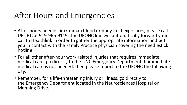## After Hours and Emergencies

- After-hours needlestick/human blood or body fluid exposures, please call UEOHC at 919-966-9119. The UEOHC line will automatically forward your call to Healthlink in order to gather the appropriate information and put you in contact with the Family Practice physician covering the needlestick hotline.
- For all other after-hour work related injuries that requires immediate medical care, go directly to the UNC Emergency Department. If immediate medical care is not needed, then please report to the UEOHC the following day.
- Remember, for a life-threatening injury or illness, go directly to the Emergency Department located in the Neurosciences Hospital on Manning Drive.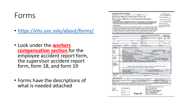#### Forms

- <https://ehs.unc.edu/about/forms/>
- • Look under the **workers**  the supervisor accident report **compensation section** for the employee accident report form, form, form 18, and form 19
- • Forms have the descriptions of what is needed attached

| <b>North Carolina Industrial Commission</b>                                                                                                                                                        |                              |                                                                                     |                                                  |                                    |                                                                                                                                                                                                                                                                                                                                                                                                                                                                                                                                                                                                                                            |                               |                                                                    | IC File #                                                                                                                                |             |
|----------------------------------------------------------------------------------------------------------------------------------------------------------------------------------------------------|------------------------------|-------------------------------------------------------------------------------------|--------------------------------------------------|------------------------------------|--------------------------------------------------------------------------------------------------------------------------------------------------------------------------------------------------------------------------------------------------------------------------------------------------------------------------------------------------------------------------------------------------------------------------------------------------------------------------------------------------------------------------------------------------------------------------------------------------------------------------------------------|-------------------------------|--------------------------------------------------------------------|------------------------------------------------------------------------------------------------------------------------------------------|-------------|
| Emp. code                                                                                                                                                                                          |                              | Fund                                                                                |                                                  | <b>Dept</b>                        |                                                                                                                                                                                                                                                                                                                                                                                                                                                                                                                                                                                                                                            |                               |                                                                    | *Emp. Code # 0006020                                                                                                                     |             |
|                                                                                                                                                                                                    |                              |                                                                                     | <b>EMPLOYER'S REPORT OF EMPLOYEE'S INJURY OR</b> |                                    |                                                                                                                                                                                                                                                                                                                                                                                                                                                                                                                                                                                                                                            |                               |                                                                    | *Carrier Code # Self                                                                                                                     |             |
| <b>OCCUPATIONAL DISEASE TO THE INDUSTRIAL COMMISSION</b>                                                                                                                                           |                              |                                                                                     |                                                  |                                    |                                                                                                                                                                                                                                                                                                                                                                                                                                                                                                                                                                                                                                            | Employer FEIN                 |                                                                    |                                                                                                                                          |             |
| To the Employer:                                                                                                                                                                                   |                              |                                                                                     |                                                  |                                    | A copy of this Form 19 accompanied by a blank Form 18 must be given to the employee. It does                                                                                                                                                                                                                                                                                                                                                                                                                                                                                                                                               |                               |                                                                    | Carrier File #                                                                                                                           |             |
| not satisfy the employee's obligation to file a claim. The filing of this report is required by law.<br>This form MUST be transmitted to the Industrial Commission through your Insurance Carrier. |                              |                                                                                     |                                                  |                                    |                                                                                                                                                                                                                                                                                                                                                                                                                                                                                                                                                                                                                                            | *Required Information.        |                                                                    |                                                                                                                                          |             |
| To the Employee:                                                                                                                                                                                   |                              |                                                                                     |                                                  |                                    | This Form 19 is not your claim for workers' compensation benefits. To make a claim, you must complete<br>and sign the enclosed Form 18 and mail it to Claims Administration. N.C. Industrial Commission, 4335<br>Mail Service Center, Raleigh, NC 27699-4334 within two years of the date of your injury or last payment<br>of medical compensation. For occupational diseases, the claim must be filed within two years of the date<br>of disability or the date your doctor told you that you have a work-related disease, whichever is later.<br>The use of this form is required under the provisions of the Workers' Compensation Act |                               | comespondance.                                                     | The LC. File # is the unique identifier for<br>this youry. It will be provided by raturn<br>letter and is to be referenced in all future |             |
|                                                                                                                                                                                                    |                              |                                                                                     |                                                  |                                    | University of North Carolina at Chapel Hill                                                                                                                                                                                                                                                                                                                                                                                                                                                                                                                                                                                                |                               |                                                                    | (919) 962-5507                                                                                                                           |             |
| Employee's Name                                                                                                                                                                                    |                              |                                                                                     |                                                  |                                    | Employer's Name                                                                                                                                                                                                                                                                                                                                                                                                                                                                                                                                                                                                                            |                               |                                                                    | Felephone Number                                                                                                                         |             |
| Address                                                                                                                                                                                            |                              |                                                                                     |                                                  | Self                               | 1120 Estes Drive Extension CB: 1650<br>Employer's Address                                                                                                                                                                                                                                                                                                                                                                                                                                                                                                                                                                                  |                               | Chapel Hill<br>City                                                | <b>NC</b><br>State                                                                                                                       | 27599<br>Zφ |
| City                                                                                                                                                                                               |                              |                                                                                     | State                                            | Insurance Carrier<br>Salf          |                                                                                                                                                                                                                                                                                                                                                                                                                                                                                                                                                                                                                                            |                               | Policy Number                                                      |                                                                                                                                          |             |
| tionie Telephone                                                                                                                                                                                   |                              |                                                                                     | Work Telephone                                   | Carrier's Address                  |                                                                                                                                                                                                                                                                                                                                                                                                                                                                                                                                                                                                                                            |                               | City                                                               | State                                                                                                                                    | Zip         |
| Social Security Number                                                                                                                                                                             |                              | M JF                                                                                | Date of Birth                                    | $\sqrt{1}$                         | Carrier's Telephone Number                                                                                                                                                                                                                                                                                                                                                                                                                                                                                                                                                                                                                 |                               | r.<br>Fax Number                                                   |                                                                                                                                          |             |
| Employer                                                                                                                                                                                           | 1.                           |                                                                                     | Give nature of employer's business               |                                    |                                                                                                                                                                                                                                                                                                                                                                                                                                                                                                                                                                                                                                            |                               |                                                                    |                                                                                                                                          |             |
| Person<br><b>Injured</b>                                                                                                                                                                           | $\overline{9}$<br>10<br>11.  | Occupation when injured<br>(a) Time employed by you<br>(a) No. hours worked per day | (d) Avg. weekly wages w/ overtime                | (b) Wages per day \$<br>s          | (b) Wages per hour \$<br>(e) if board, lodging, fuel or other advantages were<br>furnished in addition to wages, estimated value per day, week or month.                                                                                                                                                                                                                                                                                                                                                                                                                                                                                   | 5                             | (c) No. of days worked per week.                                   | DAT                                                                                                                                      |             |
| Cause<br><b>And Nature</b><br>Of Injury                                                                                                                                                            | 12.<br>13.<br>14<br>16<br>18 | Date & hour returned to work<br>At what occupation                                  | Was employee treated by a physician              | at                                 | Describe fully how injury occurred and what employee was doing when injured<br>(Statement made without prejudice and without vouching for correctness of information)<br>List all injuries and specify body part involved (e.g. right hand or left hand)<br>If so, at what wages<br>M.<br>15.<br>17<br>Employee's salary continued in full?                                                                                                                                                                                                                                                                                                |                               |                                                                    |                                                                                                                                          | per         |
| <b>Fatal Cases</b>                                                                                                                                                                                 | 19.                          | Has injured employee died.                                                          |                                                  | 20.                                | If so, give date of death (Submit Form 29)                                                                                                                                                                                                                                                                                                                                                                                                                                                                                                                                                                                                 |                               |                                                                    |                                                                                                                                          |             |
| Employer name<br>Signed by                                                                                                                                                                         |                              |                                                                                     |                                                  |                                    | Official Title                                                                                                                                                                                                                                                                                                                                                                                                                                                                                                                                                                                                                             | Date Completed                |                                                                    |                                                                                                                                          |             |
| OSHA 301 Information:                                                                                                                                                                              |                              |                                                                                     |                                                  |                                    |                                                                                                                                                                                                                                                                                                                                                                                                                                                                                                                                                                                                                                            |                               |                                                                    |                                                                                                                                          |             |
| Case Number from Log                                                                                                                                                                               |                              | Date Hired<br>$\mathcal I$                                                          |                                                  |                                    | Time Employee began work on date of incident:<br>A.M.<br>p M                                                                                                                                                                                                                                                                                                                                                                                                                                                                                                                                                                               |                               | If off-site medical treatment provided.<br>answer entire next line |                                                                                                                                          |             |
| Name of facility.                                                                                                                                                                                  |                              |                                                                                     |                                                  | Address: Street/City/Zip/Telephone |                                                                                                                                                                                                                                                                                                                                                                                                                                                                                                                                                                                                                                            | <b>ER visit</b><br><b>Yes</b> |                                                                    | Overnight stay?<br>Yes:                                                                                                                  | $\perp$ No  |
|                                                                                                                                                                                                    |                              |                                                                                     |                                                  |                                    | Attention: This form contains information relating to employee health and must be used in a manner that protects the confidentiality of employees to                                                                                                                                                                                                                                                                                                                                                                                                                                                                                       |                               |                                                                    |                                                                                                                                          |             |
| the extent possible while the information is being used for occupational safety and health purposes.                                                                                               |                              |                                                                                     |                                                  |                                    |                                                                                                                                                                                                                                                                                                                                                                                                                                                                                                                                                                                                                                            |                               |                                                                    |                                                                                                                                          |             |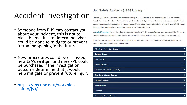# Accident Investigation

- • Someone from EHS may contact you could be done to mitigate or prevent about your incident, this is not to place blame, it is to determine what it from happening in the future
- • New procedures could be discussed, new JSA's written, and new PPE could be purchased if the investigation outcome determine that it would help mitigate or prevent future injury
- [https://ehs.unc.edu/workplace-](https://ehs.unc.edu/workplace-safety/jsa/)<br>safety/jsa/

#### **Job Safety Analysis (JSA) Library**

Job Safety Analysis is a safety tool which can be used by UNC-Chapel Hill supervisors and employees to increase the knowledge of hazards in the workplace at their specific work unit that poses a risk of causing injuries and accidents. There are numerous benefits in developing and implementing JSAs including improving knowledge of hazards among UNC-Chapel Hill supervisors and employees, and the prevention of accidents and injuries.

A blank JSA template  $\overline{v_1}$  and JSAs that have been developed at UNC-CH for specific departments are available. You can use any of the JSAs as a reference to help develop one specific for a job or work task performed at your specific work unit.

If you have any questions in regards to this training or any other safety questions about Job Safety Analysis, please call Environment, Health and Safety at 919-962-5507.

| <b>Athletics - Finley Golf Course</b> | ٠         |
|---------------------------------------|-----------|
| <b>Campus Shops</b>                   | ٠         |
| <b>Dramatic Art</b>                   | ٠         |
| <b>Energy Services</b>                | $\bullet$ |
| <b>Environment, Health and Safety</b> | ٠         |
| <b>Exercise and Sports Science</b>    | ٠         |
| <b>Facilities Services</b>            | ٠         |
| Housekeeping                          | ٠         |
| <b>Libraries</b>                      | ٠         |
| <b>Office and Administrative</b>      | ٠         |